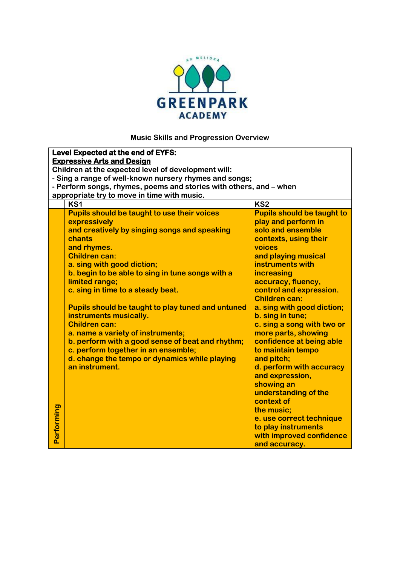

## **Music Skills and Progression Overview**

|                                   | Level Expected at the end of EYFS:                                 |                                   |  |  |  |
|-----------------------------------|--------------------------------------------------------------------|-----------------------------------|--|--|--|
| <b>Expressive Arts and Design</b> |                                                                    |                                   |  |  |  |
|                                   | Children at the expected level of development will:                |                                   |  |  |  |
|                                   | - Sing a range of well-known nursery rhymes and songs;             |                                   |  |  |  |
|                                   | - Perform songs, rhymes, poems and stories with others, and – when |                                   |  |  |  |
|                                   | appropriate try to move in time with music.                        |                                   |  |  |  |
|                                   | KS1                                                                | KS <sub>2</sub>                   |  |  |  |
|                                   | <b>Pupils should be taught to use their voices</b>                 | <b>Pupils should be taught to</b> |  |  |  |
|                                   | expressively                                                       | play and perform in               |  |  |  |
|                                   | and creatively by singing songs and speaking                       | solo and ensemble                 |  |  |  |
|                                   | chants                                                             | contexts, using their             |  |  |  |
|                                   | and rhymes.                                                        | voices                            |  |  |  |
|                                   | <b>Children can:</b>                                               | and playing musical               |  |  |  |
|                                   | a. sing with good diction;                                         | instruments with                  |  |  |  |
|                                   | b. begin to be able to sing in tune songs with a                   | increasing                        |  |  |  |
|                                   | limited range;                                                     | accuracy, fluency,                |  |  |  |
|                                   | c. sing in time to a steady beat.                                  | control and expression.           |  |  |  |
|                                   |                                                                    | <b>Children can:</b>              |  |  |  |
|                                   | <b>Pupils should be taught to play tuned and untuned</b>           | a. sing with good diction;        |  |  |  |
|                                   | instruments musically.                                             | b. sing in tune;                  |  |  |  |
|                                   | <b>Children can:</b>                                               | c. sing a song with two or        |  |  |  |
|                                   | a. name a variety of instruments;                                  | more parts, showing               |  |  |  |
|                                   | b. perform with a good sense of beat and rhythm;                   | confidence at being able          |  |  |  |
|                                   | c. perform together in an ensemble;                                | to maintain tempo                 |  |  |  |
|                                   | d. change the tempo or dynamics while playing                      | and pitch;                        |  |  |  |
|                                   | an instrument.                                                     | d. perform with accuracy          |  |  |  |
|                                   |                                                                    | and expression,                   |  |  |  |
|                                   |                                                                    | showing an                        |  |  |  |
|                                   |                                                                    | understanding of the              |  |  |  |
|                                   |                                                                    | context of                        |  |  |  |
|                                   |                                                                    |                                   |  |  |  |
| Performing                        |                                                                    | the music;                        |  |  |  |
|                                   |                                                                    | e. use correct technique          |  |  |  |
|                                   |                                                                    | to play instruments               |  |  |  |
|                                   |                                                                    | with improved confidence          |  |  |  |
|                                   |                                                                    | and accuracy.                     |  |  |  |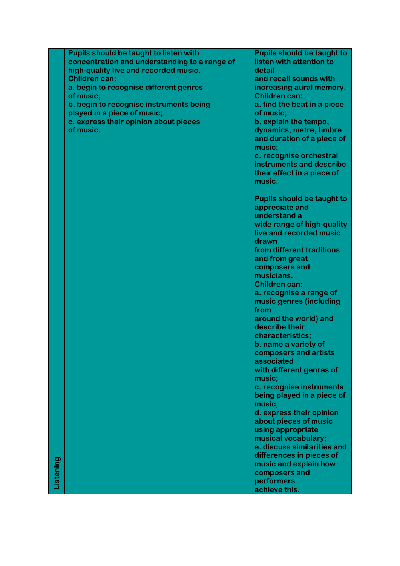|           | Pupils should be taught to listen with        | <b>Pupils should be taught to</b> |
|-----------|-----------------------------------------------|-----------------------------------|
|           | concentration and understanding to a range of | listen with attention to          |
|           | high-quality live and recorded music.         | detail                            |
|           | <b>Children can:</b>                          | and recall sounds with            |
|           | a. begin to recognise different genres        | increasing aural memory.          |
|           | of music;                                     | <b>Children can:</b>              |
|           | b. begin to recognise instruments being       | a. find the beat in a piece       |
|           | played in a piece of music;                   | of music;                         |
|           | c. express their opinion about pieces         | b. explain the tempo,             |
|           | of music.                                     | dynamics, metre, timbre           |
|           |                                               | and duration of a piece of        |
|           |                                               | music;                            |
|           |                                               | c. recognise orchestral           |
|           |                                               | instruments and describe          |
|           |                                               | their effect in a piece of        |
|           |                                               | music.                            |
|           |                                               |                                   |
|           |                                               | <b>Pupils should be taught to</b> |
|           |                                               | appreciate and                    |
|           |                                               | understand a                      |
|           |                                               | wide range of high-quality        |
|           |                                               | live and recorded music           |
|           |                                               | drawn                             |
|           |                                               | from different traditions         |
|           |                                               | and from great                    |
|           |                                               | composers and                     |
|           |                                               | musicians.                        |
|           |                                               | <b>Children can:</b>              |
|           |                                               | a. recognise a range of           |
|           |                                               | music genres (including           |
|           |                                               | from                              |
|           |                                               | around the world) and             |
|           |                                               | describe their                    |
|           |                                               | characteristics;                  |
|           |                                               | b. name a variety of              |
|           |                                               | composers and artists             |
|           |                                               | associated                        |
|           |                                               | with different genres of          |
|           |                                               | music;                            |
|           |                                               | c. recognise instruments          |
|           |                                               | being played in a piece of        |
|           |                                               | music;                            |
|           |                                               | d. express their opinion          |
|           |                                               | about pieces of music             |
|           |                                               | using appropriate                 |
|           |                                               | musical vocabulary;               |
|           |                                               | e. discuss similarities and       |
|           |                                               | differences in pieces of          |
|           |                                               | music and explain how             |
| Listening |                                               | composers and                     |
|           |                                               | performers                        |
|           |                                               | achieve this.                     |